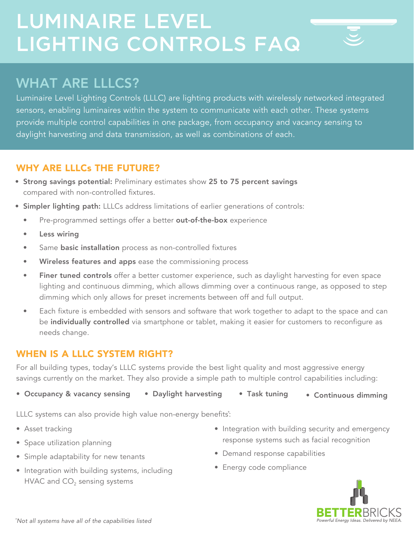# LUMINAIRE LEVEL LIGHTING CONTROLS FAQ

## WHAT ARE LLLCS?

Luminaire Level Lighting Controls (LLLC) are lighting products with wirelessly networked integrated sensors, enabling luminaires within the system to communicate with each other. These systems provide multiple control capabilities in one package, from occupancy and vacancy sensing to daylight harvesting and data transmission, as well as combinations of each.

### WHY ARE LLLCs THE FUTURE?

- Strong savings potential: Preliminary estimates show 25 to 75 percent savings compared with non-controlled fixtures.
- Simpler lighting path: LLLCs address limitations of earlier generations of controls:
	- Pre-programmed settings offer a better out-of-the-box experience
	- Less wiring
	- Same **basic installation** process as non-controlled fixtures
	- Wireless features and apps ease the commissioning process
	- Finer tuned controls offer a better customer experience, such as daylight harvesting for even space lighting and continuous dimming, which allows dimming over a continuous range, as opposed to step dimming which only allows for preset increments between off and full output.
	- Each fixture is embedded with sensors and software that work together to adapt to the space and can be individually controlled via smartphone or tablet, making it easier for customers to reconfigure as needs change.

### WHEN IS A LLLC SYSTEM RIGHT?

For all building types, today's LLLC systems provide the best light quality and most aggressive energy savings currently on the market. They also provide a simple path to multiple control capabilities including:

• Occupancy & vacancy sensing • Daylight harvesting • Task tuning • Continuous dimming

LLLC systems can also provide high value non-energy benefits\* :

- Asset tracking
- Space utilization planning
- Simple adaptability for new tenants
- Integration with building systems, including HVAC and  $CO<sub>2</sub>$  sensing systems
- Integration with building security and emergency response systems such as facial recognition
- Demand response capabilities
- Energy code compliance